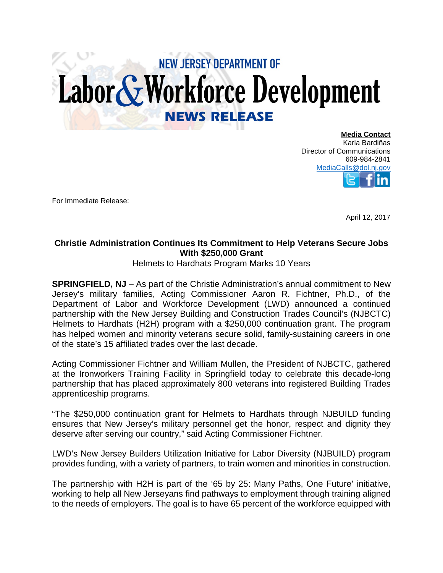## **NEW JERSEY DEPARTMENT OF** Labor & Workforce Development **NEWS RELEASE**

**Media Contact** Karla Bardiñas Director of Communications 609-984-2841 [MediaCalls@dol.nj.gov](mailto:MediaCalls@dol.nj.gov)

For Immediate Release:

April 12, 2017

## **Christie Administration Continues Its Commitment to Help Veterans Secure Jobs With \$250,000 Grant**

Helmets to Hardhats Program Marks 10 Years

**SPRINGFIELD, NJ** – As part of the Christie Administration's annual commitment to New Jersey's military families, Acting Commissioner Aaron R. Fichtner, Ph.D., of the Department of Labor and Workforce Development (LWD) announced a continued partnership with the New Jersey Building and Construction Trades Council's (NJBCTC) Helmets to Hardhats (H2H) program with a \$250,000 continuation grant. The program has helped women and minority veterans secure solid, family-sustaining careers in one of the state's 15 affiliated trades over the last decade.

Acting Commissioner Fichtner and William Mullen, the President of NJBCTC, gathered at the Ironworkers Training Facility in Springfield today to celebrate this decade-long partnership that has placed approximately 800 veterans into registered Building Trades apprenticeship programs.

"The \$250,000 continuation grant for Helmets to Hardhats through NJBUILD funding ensures that New Jersey's military personnel get the honor, respect and dignity they deserve after serving our country," said Acting Commissioner Fichtner.

LWD's New Jersey Builders Utilization Initiative for Labor Diversity (NJBUILD) program provides funding, with a variety of partners, to train women and minorities in construction.

The partnership with H2H is part of the '65 by 25: Many Paths, One Future' initiative, working to help all New Jerseyans find pathways to employment through training aligned to the needs of employers. The goal is to have 65 percent of the workforce equipped with